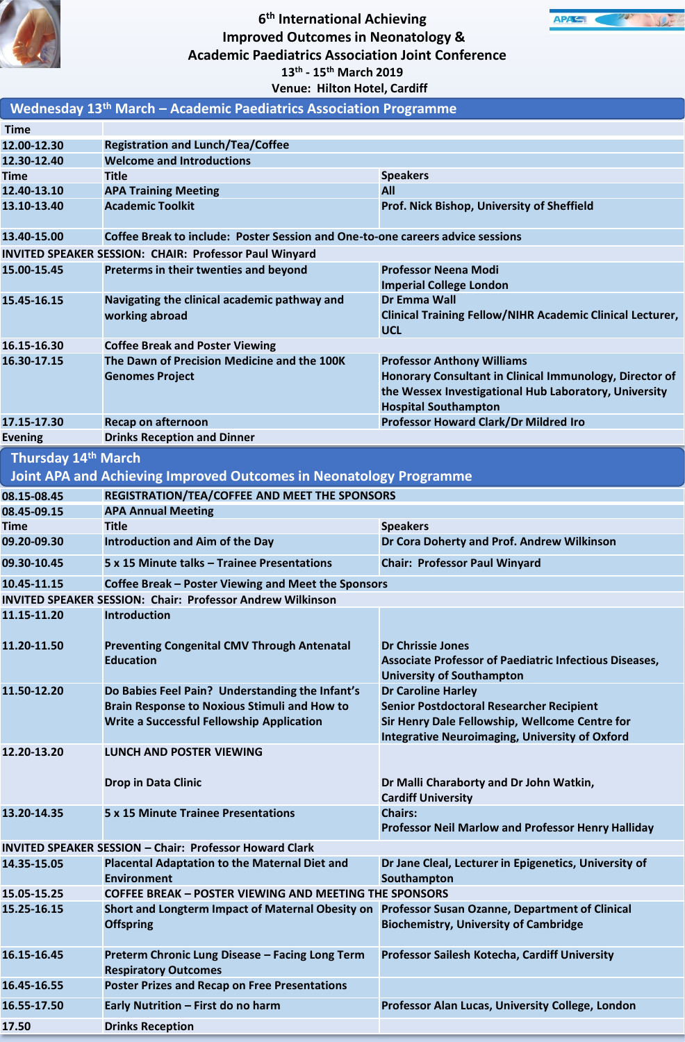

## **6 th International Achieving Improved Outcomes in Neonatology & Academic Paediatrics Association Joint Conference 13th - 15th March 2019**



| Venue: Hilton Hotel, Cardiff                                                                  |                                                                                                                                                     |                                                                                                                                                                                         |  |
|-----------------------------------------------------------------------------------------------|-----------------------------------------------------------------------------------------------------------------------------------------------------|-----------------------------------------------------------------------------------------------------------------------------------------------------------------------------------------|--|
| Wednesday 13 <sup>th</sup> March - Academic Paediatrics Association Programme                 |                                                                                                                                                     |                                                                                                                                                                                         |  |
| <b>Time</b>                                                                                   |                                                                                                                                                     |                                                                                                                                                                                         |  |
| 12.00-12.30                                                                                   | <b>Registration and Lunch/Tea/Coffee</b>                                                                                                            |                                                                                                                                                                                         |  |
| 12.30-12.40                                                                                   | <b>Welcome and Introductions</b>                                                                                                                    |                                                                                                                                                                                         |  |
| Time                                                                                          | <b>Title</b>                                                                                                                                        | <b>Speakers</b>                                                                                                                                                                         |  |
| 12.40-13.10                                                                                   | <b>APA Training Meeting</b>                                                                                                                         | All                                                                                                                                                                                     |  |
| 13.10-13.40                                                                                   | <b>Academic Toolkit</b>                                                                                                                             | Prof. Nick Bishop, University of Sheffield                                                                                                                                              |  |
| Coffee Break to include: Poster Session and One-to-one careers advice sessions<br>13.40-15.00 |                                                                                                                                                     |                                                                                                                                                                                         |  |
| INVITED SPEAKER SESSION: CHAIR: Professor Paul Winyard                                        |                                                                                                                                                     |                                                                                                                                                                                         |  |
| 15.00-15.45                                                                                   | Preterms in their twenties and beyond                                                                                                               | <b>Professor Neena Modi</b>                                                                                                                                                             |  |
| 15.45-16.15                                                                                   | Navigating the clinical academic pathway and<br>working abroad                                                                                      | <b>Imperial College London</b><br>Dr Emma Wall<br><b>Clinical Training Fellow/NIHR Academic Clinical Lecturer,</b><br><b>UCL</b>                                                        |  |
| 16.15-16.30                                                                                   | <b>Coffee Break and Poster Viewing</b>                                                                                                              |                                                                                                                                                                                         |  |
| 16.30-17.15                                                                                   | The Dawn of Precision Medicine and the 100K<br><b>Genomes Project</b>                                                                               | <b>Professor Anthony Williams</b><br>Honorary Consultant in Clinical Immunology, Director of<br>the Wessex Investigational Hub Laboratory, University<br><b>Hospital Southampton</b>    |  |
| 17.15-17.30                                                                                   | <b>Recap on afternoon</b>                                                                                                                           | <b>Professor Howard Clark/Dr Mildred Iro</b>                                                                                                                                            |  |
| <b>Evening</b>                                                                                | <b>Drinks Reception and Dinner</b>                                                                                                                  |                                                                                                                                                                                         |  |
| Thursday 14th March                                                                           |                                                                                                                                                     |                                                                                                                                                                                         |  |
|                                                                                               | Joint APA and Achieving Improved Outcomes in Neonatology Programme                                                                                  |                                                                                                                                                                                         |  |
| 08.15-08.45                                                                                   | REGISTRATION/TEA/COFFEE AND MEET THE SPONSORS                                                                                                       |                                                                                                                                                                                         |  |
| 08.45-09.15                                                                                   | <b>APA Annual Meeting</b>                                                                                                                           |                                                                                                                                                                                         |  |
| Time                                                                                          | <b>Title</b>                                                                                                                                        | <b>Speakers</b>                                                                                                                                                                         |  |
| 09.20-09.30                                                                                   | Introduction and Aim of the Day                                                                                                                     | Dr Cora Doherty and Prof. Andrew Wilkinson                                                                                                                                              |  |
| 09.30-10.45                                                                                   | 5 x 15 Minute talks – Trainee Presentations                                                                                                         | <b>Chair: Professor Paul Winyard</b>                                                                                                                                                    |  |
| 10.45-11.15                                                                                   | Coffee Break - Poster Viewing and Meet the Sponsors                                                                                                 |                                                                                                                                                                                         |  |
| <b>INVITED SPEAKER SESSION: Chair: Professor Andrew Wilkinson</b>                             |                                                                                                                                                     |                                                                                                                                                                                         |  |
| 11.15-11.20                                                                                   | <b>Introduction</b>                                                                                                                                 |                                                                                                                                                                                         |  |
| 11.20-11.50                                                                                   | <b>Preventing Congenital CMV Through Antenatal</b><br><b>Education</b>                                                                              | <b>Dr Chrissie Jones</b><br>Associate Professor of Paediatric Infectious Diseases,<br><b>University of Southampton</b>                                                                  |  |
| 11.50-12.20                                                                                   | Do Babies Feel Pain? Understanding the Infant's<br><b>Brain Response to Noxious Stimuli and How to</b><br>Write a Successful Fellowship Application | <b>Dr Caroline Harley</b><br><b>Senior Postdoctoral Researcher Recipient</b><br>Sir Henry Dale Fellowship, Wellcome Centre for<br><b>Integrative Neuroimaging, University of Oxford</b> |  |
| 12.20-13.20                                                                                   | <b>LUNCH AND POSTER VIEWING</b>                                                                                                                     |                                                                                                                                                                                         |  |
|                                                                                               | <b>Drop in Data Clinic</b>                                                                                                                          | Dr Malli Charaborty and Dr John Watkin,<br><b>Cardiff University</b>                                                                                                                    |  |
| 13.20-14.35                                                                                   | <b>5 x 15 Minute Trainee Presentations</b>                                                                                                          | <b>Chairs:</b><br>Professor Neil Marlow and Professor Henry Halliday                                                                                                                    |  |
| <b>INVITED SPEAKER SESSION - Chair: Professor Howard Clark</b>                                |                                                                                                                                                     |                                                                                                                                                                                         |  |
| 14.35-15.05                                                                                   | <b>Placental Adaptation to the Maternal Diet and</b><br><b>Environment</b>                                                                          | Dr Jane Cleal, Lecturer in Epigenetics, University of<br>Southampton                                                                                                                    |  |
| 15.05-15.25                                                                                   | <b>COFFEE BREAK - POSTER VIEWING AND MEETING THE SPONSORS</b>                                                                                       |                                                                                                                                                                                         |  |
| 15.25-16.15                                                                                   | Short and Longterm Impact of Maternal Obesity on Professor Susan Ozanne, Department of Clinical<br><b>Offspring</b>                                 | <b>Biochemistry, University of Cambridge</b>                                                                                                                                            |  |
| 16.15-16.45                                                                                   | Preterm Chronic Lung Disease - Facing Long Term<br><b>Respiratory Outcomes</b>                                                                      | Professor Sailesh Kotecha, Cardiff University                                                                                                                                           |  |
| 16.45-16.55                                                                                   | <b>Poster Prizes and Recap on Free Presentations</b>                                                                                                |                                                                                                                                                                                         |  |
| 16.55-17.50                                                                                   | Early Nutrition - First do no harm                                                                                                                  | Professor Alan Lucas, University College, London                                                                                                                                        |  |
| 17.50                                                                                         | <b>Drinks Reception</b>                                                                                                                             |                                                                                                                                                                                         |  |